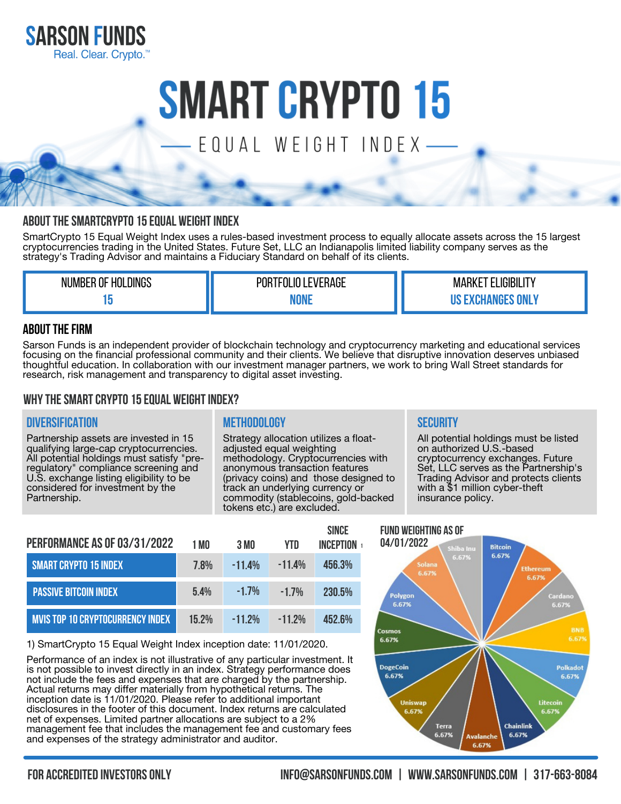

# **SMART CRYPTO 15**

# EQUAL WEIGHT INDEX-

# **ABOUT THE SMARTCRYPTO 15 EQUAL WEIGHT INDEX**

SmartCrypto 15 Equal Weight Index uses a rules-based investment process to equally allocate assets across the 15 largest cryptocurrencies trading in the United States. Future Set, LLC an Indianapolis limited liability company serves as the strategy's Trading Advisor and maintains a Fiduciary Standard on behalf of its clients.

| <b>HOLDINGS</b><br><b>NUMBER</b><br>0F | <b>EVERAGL</b><br>Πſ<br>PORTFOI<br>Ш. | IUIBILI.<br>Mł<br>חר |
|----------------------------------------|---------------------------------------|----------------------|
|                                        | .                                     |                      |

## **ABOUT THE FIRM**

Sarson Funds is an independent provider of blockchain technology and cryptocurrency marketing and educational services focusing on the financial professional community and their clients. We believe that disruptive innovation deserves unbiased thoughtful education. In collaboration with our investment manager partners, we work to bring Wall Street standards for research, risk management and transparency to digital asset investing.

### **WHY THE SMART CRYPTO 15 EQUAL WEIGHT INDEX?**

### **Diversification Methodology Security**

Partnership assets are invested in 15 qualifying large-cap cryptocurrencies. All potential holdings must satisfy "preregulatory" compliance screening and U.S. exchange listing eligibility to be considered for investment by the Partnership.

Strategy allocation utilizes a floatadjusted equal weighting methodology. Cryptocurrencies with anonymous transaction features (privacy coins) and those designed to track an underlying currency or commodity (stablecoins, gold-backed tokens etc.) are excluded.

**Since**

All potential holdings must be listed on authorized U.S.-based cryptocurrency exchanges. Future Set, LLC serves as the Partnership's Trading Advisor and protects clients with a \$1 million cyber-theft insurance policy.

| PERFORMANCE AS OF 03/31/2022 |                                  | 1 MN       | 3 MO     | YTD      | onwu<br><b>INCEPTION</b> |
|------------------------------|----------------------------------|------------|----------|----------|--------------------------|
|                              | <b>SMART CRYPTO 15 INDEX</b>     | <b>78%</b> | $-11.4%$ | $-11.4%$ | 456.3%                   |
|                              | <b>PASSIVE BITCOIN INDEX</b>     | 5.4%       | $-1.7%$  | $-1.7%$  | 230.5%                   |
|                              | MVIS TOP 10 CRYPTOCURRENCY INDEX | 15.2%      | $-11.2%$ | $-11.2%$ | 452 6 <sub>%</sub>       |

1) SmartCrypto 15 Equal Weight Index inception date: 11/01/2020.

Performance of an index is not illustrative of any particular investment. It is not possible to invest directly in an index. Strategy performance does not include the fees and expenses that are charged by the partnership. Actual returns may differ materially from hypothetical returns. The inception date is 11/01/2020. Please refer to additional important disclosures in the footer of this document. Index returns are calculated net of expenses. Limited partner allocations are subject to a 2% management fee that includes the management fee and customary fees and expenses of the strategy administrator and auditor.